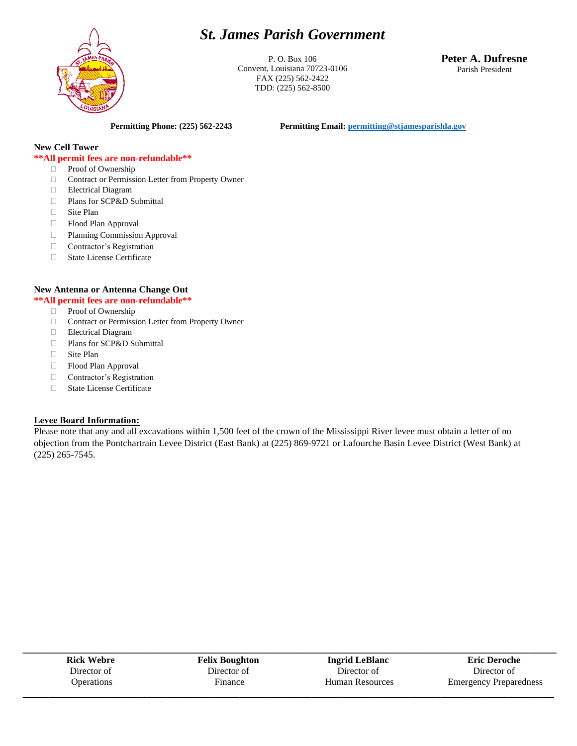# *St. James Parish Government*



P. O. Box 106 Convent, Louisiana 70723-0106 FAX (225) 562-2422 TDD: (225) 562-8500

**Peter A. Dufresne** Parish President

**Permitting Phone: (225) 562-2243 Permitting Email[: permitting@stjamesparishla.gov](mailto:permitting@stjamesparishla.gov)**

#### **New Cell Tower**

#### **\*\*All permit fees are non-refundable\*\***

- **Proof of Ownership**
- □ Contract or Permission Letter from Property Owner
- Electrical Diagram
- Plans for SCP&D Submittal
- Site Plan
- Flood Plan Approval
- Planning Commission Approval
- □ Contractor's Registration
- State License Certificate

#### **New Antenna or Antenna Change Out**

#### **\*\*All permit fees are non-refundable\*\***

- □ Proof of Ownership
- □ Contract or Permission Letter from Property Owner
- Electrical Diagram
- Plans for SCP&D Submittal
- □ Site Plan
- Flood Plan Approval
- **Contractor's Registration**
- State License Certificate

#### **Levee Board Information:**

Please note that any and all excavations within 1,500 feet of the crown of the Mississippi River levee must obtain a letter of no objection from the Pontchartrain Levee District (East Bank) at (225) 869-9721 or Lafourche Basin Levee District (West Bank) at (225) 265-7545.

| <b>Rick Webre</b> | <b>Felix Boughton</b> | <b>Ingrid LeBlanc</b>  | <b>Eric Deroche</b>           |
|-------------------|-----------------------|------------------------|-------------------------------|
| Director of       | Director of           | Director of            | Director of                   |
| <b>Operations</b> | Finance               | <b>Human Resources</b> | <b>Emergency Preparedness</b> |
|                   |                       |                        |                               |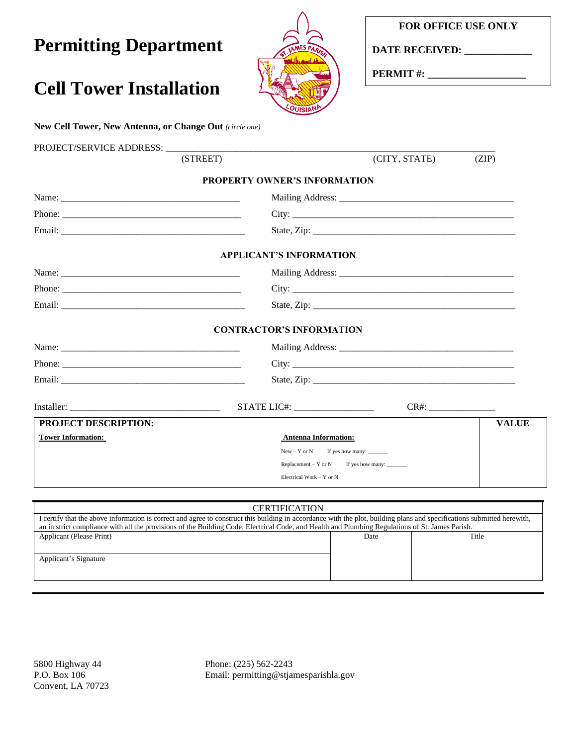### **FOR OFFICE USE ONLY**

**Permitting Department**

**Cell Tower Installation**



**DATE RECEIVED: \_\_\_\_\_\_\_\_\_\_\_\_\_**

**PERMIT #: \_\_\_\_\_\_\_\_\_\_\_\_\_\_\_\_\_\_\_**

# **New Cell Tower, New Antenna, or Change Out** *(circle one)* PROJECT/SERVICE ADDRESS: \_\_\_\_\_\_\_\_\_\_\_\_\_\_\_\_\_\_\_\_\_\_\_\_\_\_\_\_\_\_\_\_\_\_\_\_\_\_\_\_\_\_\_\_\_\_\_\_\_\_\_\_\_\_\_\_\_\_\_\_\_\_\_\_\_\_\_\_\_\_  $(CITY, STATE)$  (ZIP) **PROPERTY OWNER'S INFORMATION** Name: \_\_\_\_\_\_\_\_\_\_\_\_\_\_\_\_\_\_\_\_\_\_\_\_\_\_\_\_\_\_\_\_\_\_\_\_\_\_ Mailing Address: \_\_\_\_\_\_\_\_\_\_\_\_\_\_\_\_\_\_\_\_\_\_\_\_\_\_\_\_\_\_\_\_\_\_\_\_\_ Phone:  $\qquad \qquad \text{City:}$ Email: \_\_\_\_\_\_\_\_\_\_\_\_\_\_\_\_\_\_\_\_\_\_\_\_\_\_\_\_\_\_\_\_\_\_\_\_\_\_\_ State, Zip: \_\_\_\_\_\_\_\_\_\_\_\_\_\_\_\_\_\_\_\_\_\_\_\_\_\_\_\_\_\_\_\_\_\_\_\_\_\_\_\_\_\_\_ **APPLICANT'S INFORMATION** Name: \_\_\_\_\_\_\_\_\_\_\_\_\_\_\_\_\_\_\_\_\_\_\_\_\_\_\_\_\_\_\_\_\_\_\_\_\_\_ Mailing Address: \_\_\_\_\_\_\_\_\_\_\_\_\_\_\_\_\_\_\_\_\_\_\_\_\_\_\_\_\_\_\_\_\_\_\_\_\_ Phone: \_\_\_\_\_\_\_\_\_\_\_\_\_\_\_\_\_\_\_\_\_\_\_\_\_\_\_\_\_\_\_\_\_\_\_\_\_\_ City: \_\_\_\_\_\_\_\_\_\_\_\_\_\_\_\_\_\_\_\_\_\_\_\_\_\_\_\_\_\_\_\_\_\_\_\_\_\_\_\_\_\_\_\_\_\_\_ Email: \_\_\_\_\_\_\_\_\_\_\_\_\_\_\_\_\_\_\_\_\_\_\_\_\_\_\_\_\_\_\_\_\_\_\_\_\_\_\_ State, Zip: \_\_\_\_\_\_\_\_\_\_\_\_\_\_\_\_\_\_\_\_\_\_\_\_\_\_\_\_\_\_\_\_\_\_\_\_\_\_\_\_\_\_\_ **CONTRACTOR'S INFORMATION** Name: \_\_\_\_\_\_\_\_\_\_\_\_\_\_\_\_\_\_\_\_\_\_\_\_\_\_\_\_\_\_\_\_\_\_\_\_\_\_ Mailing Address: \_\_\_\_\_\_\_\_\_\_\_\_\_\_\_\_\_\_\_\_\_\_\_\_\_\_\_\_\_\_\_\_\_\_\_\_\_ Phone:  $\qquad \qquad \text{City:}$ Email: \_\_\_\_\_\_\_\_\_\_\_\_\_\_\_\_\_\_\_\_\_\_\_\_\_\_\_\_\_\_\_\_\_\_\_\_\_\_\_ State, Zip: \_\_\_\_\_\_\_\_\_\_\_\_\_\_\_\_\_\_\_\_\_\_\_\_\_\_\_\_\_\_\_\_\_\_\_\_\_\_\_\_\_\_\_ Installer: \_\_\_\_\_\_\_\_\_\_\_\_\_\_\_\_\_\_\_\_\_\_\_\_\_\_\_\_\_\_\_\_ STATE LIC#: \_\_\_\_\_\_\_\_\_\_\_\_\_\_\_\_\_ CR#: \_\_\_\_\_\_\_\_\_\_\_\_\_\_ **PROJECT DESCRIPTION: Tower Information: CONSIDER Antenna Information: Antenna Information:** New  $-$  Y or N If yes how many:  $\frac{1}{2}$  Replacement – Y or N If yes how many: \_\_\_\_\_\_\_ Electrical Work – Y or N **VALUE**

| <b>CERTIFICATION</b>                                                                                                                                                                                                                                                                                                       |      |       |  |  |  |
|----------------------------------------------------------------------------------------------------------------------------------------------------------------------------------------------------------------------------------------------------------------------------------------------------------------------------|------|-------|--|--|--|
| I certify that the above information is correct and agree to construct this building in accordance with the plot, building plans and specifications submitted herewith,<br>an in strict compliance with all the provisions of the Building Code, Electrical Code, and Health and Plumbing Regulations of St. James Parish. |      |       |  |  |  |
| Applicant (Please Print)                                                                                                                                                                                                                                                                                                   | Date | Title |  |  |  |
| Applicant's Signature                                                                                                                                                                                                                                                                                                      |      |       |  |  |  |

5800 Highway 44 Phone: (225) 562-2243 P.O. Box 106 Email: permitting@stjamesparishla.gov